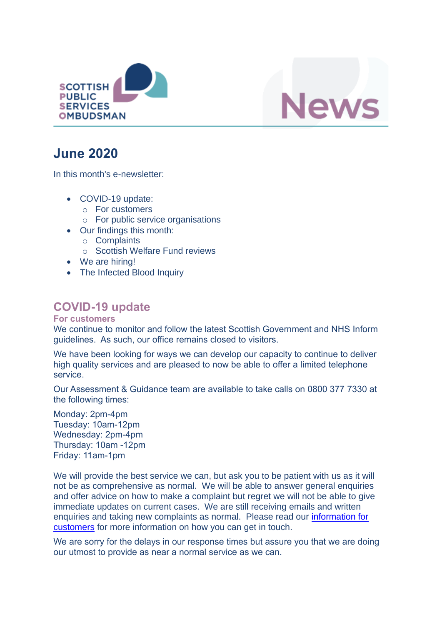



# **June 2020**

In this month's e-newsletter:

- COVID-19 update:
	- o For customers
	- o For public service organisations
- Our findings this month:
	- o Complaints
	- o Scottish Welfare Fund reviews
- We are hiring!
- The Infected Blood Inquiry

## **COVID-19 update**

#### **For customers**

We continue to monitor and follow the latest Scottish Government and NHS Inform guidelines. As such, our office remains closed to visitors.

We have been looking for ways we can develop our capacity to continue to deliver high quality services and are pleased to now be able to offer a limited telephone service.

Our Assessment & Guidance team are available to take calls on 0800 377 7330 at the following times:

Monday: 2pm-4pm Tuesday: 10am-12pm Wednesday: 2pm-4pm Thursday: 10am -12pm Friday: 11am-1pm

We will provide the best service we can, but ask you to be patient with us as it will not be as comprehensive as normal. We will be able to answer general enquiries and offer advice on how to make a complaint but regret we will not be able to give immediate updates on current cases. We are still receiving emails and written enquiries and taking new complaints as normal. Please read our information for [customers](https://www.spso.org.uk/covid-19-update-for-customers) for more information on how you can get in touch.

We are sorry for the delays in our response times but assure you that we are doing our utmost to provide as near a normal service as we can.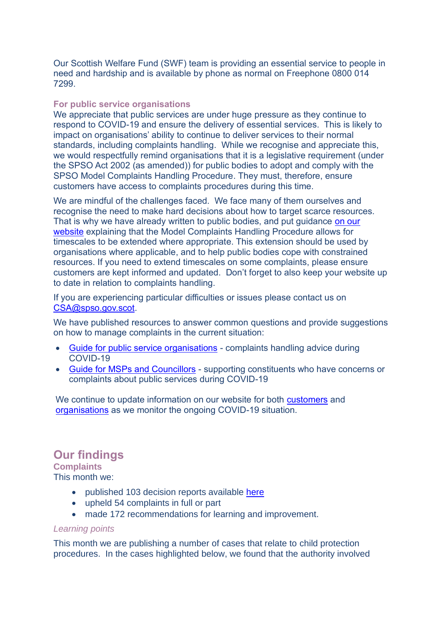Our Scottish Welfare Fund (SWF) team is providing an essential service to people in need and hardship and is available by phone as normal on Freephone 0800 014 7299.

#### **For public service organisations**

We appreciate that public services are under huge pressure as they continue to respond to COVID-19 and ensure the delivery of essential services. This is likely to impact on organisations' ability to continue to deliver services to their normal standards, including complaints handling. While we recognise and appreciate this, we would respectfully remind organisations that it is a legislative requirement (under the SPSO Act 2002 (as amended)) for public bodies to adopt and comply with the SPSO Model Complaints Handling Procedure. They must, therefore, ensure customers have access to complaints procedures during this time.

We are mindful of the challenges faced. We face many of them ourselves and recognise the need to make hard decisions about how to target scarce resources. That is why we have already written to public bodies, and put guidance [on our](https://www.spso.org.uk/covid-19-update-for-public-service-organisations)  [website](https://www.spso.org.uk/covid-19-update-for-public-service-organisations) explaining that the Model Complaints Handling Procedure allows for timescales to be extended where appropriate. This extension should be used by organisations where applicable, and to help public bodies cope with constrained resources. If you need to extend timescales on some complaints, please ensure customers are kept informed and updated. Don't forget to also keep your website up to date in relation to complaints handling.

If you are experiencing particular difficulties or issues please contact us on [CSA@spso.gov.scot.](mailto:CSA@spso.gov.scot)

We have published resources to answer common questions and provide suggestions on how to manage complaints in the current situation:

- [Guide for public service organisations](https://www.spso.org.uk/sites/spso/files/csa/COVID19%20complaint%20handling%20guidance%20for%20organisations.pdf) complaints handling advice during COVID-19
- [Guide for MSPs and Councillors](https://www.spso.org.uk/sites/spso/files/csa/200403%20COVID19%20guide%20for%20MSPs%20and%20councillors.pdf) supporting constituents who have concerns or complaints about public services during COVID-19

We continue to update information on our website for both [customers](https://www.spso.org.uk/covid-19-update-for-customers) and [organisations](https://www.spso.org.uk/covid-19-update-for-public-service-organisations) as we monitor the ongoing COVID-19 situation.

### **Our findings**

**Complaints**

- This month we:
	- published 103 decision reports available [here](https://www.spso.org.uk/our-findings)
	- upheld 54 complaints in full or part
	- made 172 recommendations for learning and improvement.

#### *Learning points*

This month we are publishing a number of cases that relate to child protection procedures. In the cases highlighted below, we found that the authority involved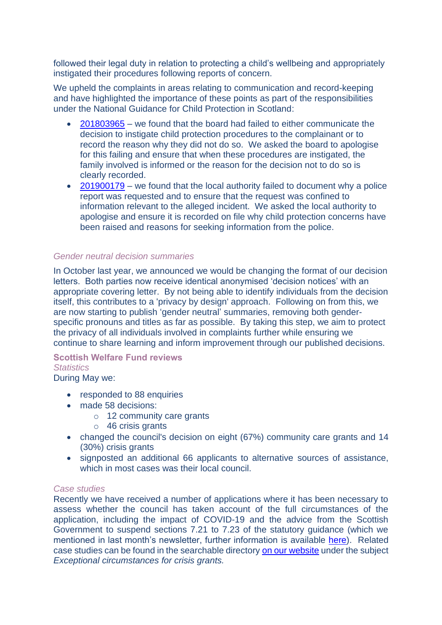followed their legal duty in relation to protecting a child's wellbeing and appropriately instigated their procedures following reports of concern.

We upheld the complaints in areas relating to communication and record-keeping and have highlighted the importance of these points as part of the responsibilities under the National Guidance for Child Protection in Scotland:

- [201803965](https://www.spso.org.uk/decision-reports/2020/june/decision-report-201803965-201803965) we found that the board had failed to either communicate the decision to instigate child protection procedures to the complainant or to record the reason why they did not do so. We asked the board to apologise for this failing and ensure that when these procedures are instigated, the family involved is informed or the reason for the decision not to do so is clearly recorded.
- [201900179](https://www.spso.org.uk/decision-reports/2020/june/decision-report-201900179-201900179) we found that the local authority failed to document why a police report was requested and to ensure that the request was confined to information relevant to the alleged incident. We asked the local authority to apologise and ensure it is recorded on file why child protection concerns have been raised and reasons for seeking information from the police.

#### *Gender neutral decision summaries*

In October last year, we announced we would be changing the format of our decision letters. Both parties now receive identical anonymised 'decision notices' with an appropriate covering letter. By not being able to identify individuals from the decision itself, this contributes to a 'privacy by design' approach. Following on from this, we are now starting to publish 'gender neutral' summaries, removing both genderspecific pronouns and titles as far as possible. By taking this step, we aim to protect the privacy of all individuals involved in complaints further while ensuring we continue to share learning and inform improvement through our published decisions.

#### **Scottish Welfare Fund reviews**

#### *Statistics*

During May we:

- responded to 88 enquiries
- made 58 decisions:
	- o 12 community care grants
	- o 46 crisis grants
- changed the council's decision on eight (67%) community care grants and 14 (30%) crisis grants
- signposted an additional 66 applicants to alternative sources of assistance, which in most cases was their local council.

#### *Case studies*

Recently we have received a number of applications where it has been necessary to assess whether the council has taken account of the full circumstances of the application, including the impact of COVID-19 and the advice from the Scottish Government to suspend sections 7.21 to 7.23 of the statutory guidance (which we mentioned in last month's newsletter, further information is available [here\)](https://www.spso.org.uk/covid-19-update-for-public-service-organisations). Related case studies can be found in the searchable directory [on our website](https://www.spso.org.uk/scottishwelfarefund/case-summaries) under the subject *Exceptional circumstances for crisis grants.*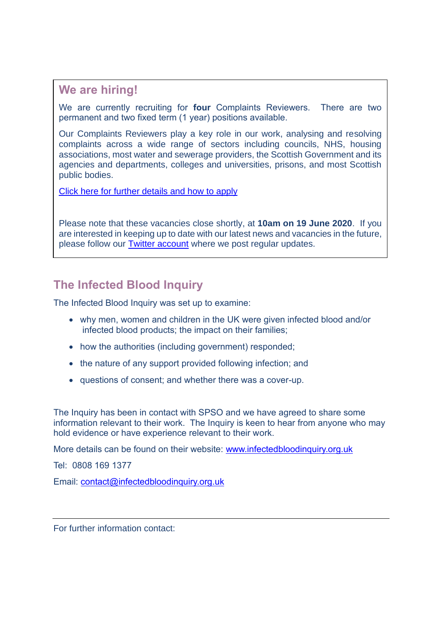### **We are hiring!**

We are currently recruiting for **four** Complaints Reviewers. There are two permanent and two fixed term (1 year) positions available.

Our Complaints Reviewers play a key role in our work, analysing and resolving complaints across a wide range of sectors including councils, NHS, housing associations, most water and sewerage providers, the Scottish Government and its agencies and departments, colleges and universities, prisons, and most Scottish public bodies.

[Click here for further details and how to apply](https://www.spso.org.uk/vacancy-complaints-reviewer-x-4) 

Please note that these vacancies close shortly, at **10am on 19 June 2020**. If you are interested in keeping up to date with our latest news and vacancies in the future, please follow our [Twitter account](https://twitter.com/SPSO_Ombudsman) where we post regular updates.

### **The Infected Blood Inquiry**

The Infected Blood Inquiry was set up to examine:

- why men, women and children in the UK were given infected blood and/or infected blood products; the impact on their families;
- how the authorities (including government) responded:
- the nature of any support provided following infection; and
- questions of consent; and whether there was a cover-up.

The Inquiry has been in contact with SPSO and we have agreed to share some information relevant to their work. The Inquiry is keen to hear from anyone who may hold evidence or have experience relevant to their work.

More details can be found on their website: [www.infectedbloodinquiry.org.uk](http://www.infectedbloodinquiry.org.uk/)

Tel: 0808 169 1377

Email: [contact@infectedbloodinquiry.org.uk](mailto:contact@infectedbloodinquiry.org.uk)

For further information contact: